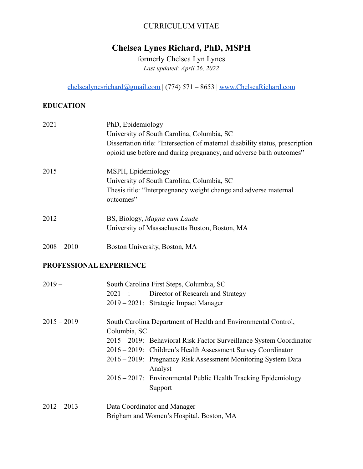# CURRICULUM VITAE

# **Chelsea Lynes Richard, PhD, MSPH**

formerly Chelsea Lyn Lynes *Last updated: April 26, 2022*

[chelsealynesrichard@gmail.com](mailto:chelsealynesrichard@gmail.com) | (774) 571 – 8653 | [www.ChelseaRichard.com](http://www.chelsearichard.com)

## **EDUCATION**

| 2021          | PhD, Epidemiology<br>University of South Carolina, Columbia, SC<br>Dissertation title: "Intersection of maternal disability status, prescription<br>opioid use before and during pregnancy, and adverse birth outcomes" |
|---------------|-------------------------------------------------------------------------------------------------------------------------------------------------------------------------------------------------------------------------|
| 2015          | MSPH, Epidemiology<br>University of South Carolina, Columbia, SC<br>Thesis title: "Interpregnancy weight change and adverse maternal<br>outcomes"                                                                       |
| 2012          | BS, Biology, Magna cum Laude<br>University of Massachusetts Boston, Boston, MA                                                                                                                                          |
| $2008 - 2010$ | Boston University, Boston, MA                                                                                                                                                                                           |

## **PROFESSIONAL EXPERIENCE**

| $2019-$       | South Carolina First Steps, Columbia, SC                                 |  |  |
|---------------|--------------------------------------------------------------------------|--|--|
|               | $2021 -$ : Director of Research and Strategy                             |  |  |
|               | 2019 – 2021: Strategic Impact Manager                                    |  |  |
| $2015 - 2019$ | South Carolina Department of Health and Environmental Control,           |  |  |
|               | Columbia, SC                                                             |  |  |
|               | 2015 – 2019: Behavioral Risk Factor Surveillance System Coordinator      |  |  |
|               | 2016 – 2019: Children's Health Assessment Survey Coordinator             |  |  |
|               | 2016 – 2019: Pregnancy Risk Assessment Monitoring System Data<br>Analyst |  |  |
|               | 2016 – 2017: Environmental Public Health Tracking Epidemiology           |  |  |
|               | Support                                                                  |  |  |
| $2012 - 2013$ | Data Coordinator and Manager                                             |  |  |
|               | Brigham and Women's Hospital, Boston, MA                                 |  |  |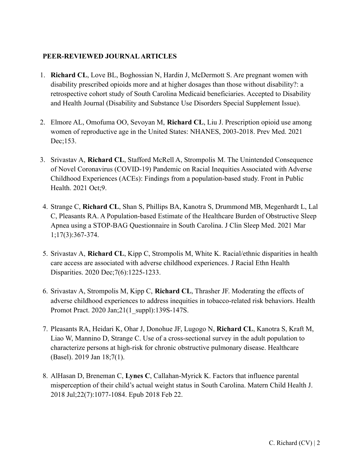### **PEER-REVIEWED JOURNAL ARTICLES**

- 1. **Richard CL**, Love BL, Boghossian N, Hardin J, McDermott S. Are pregnant women with disability prescribed opioids more and at higher dosages than those without disability?: a retrospective cohort study of South Carolina Medicaid beneficiaries. Accepted to Disability and Health Journal (Disability and Substance Use Disorders Special Supplement Issue).
- 2. Elmore AL, Omofuma OO, Sevoyan M, **Richard CL**, Liu J. Prescription opioid use among women of reproductive age in the United States: NHANES, 2003-2018. Prev Med. 2021 Dec;153.
- 3. Srivastav A, **Richard CL**, Stafford McRell A, Strompolis M. The Unintended Consequence of Novel Coronavirus (COVID-19) Pandemic on Racial Inequities Associated with Adverse Childhood Experiences (ACEs): Findings from a population-based study. Front in Public Health. 2021 Oct;9.
- 4. Strange C, **Richard CL**, Shan S, Phillips BA, Kanotra S, Drummond MB, Megenhardt L, Lal C, Pleasants RA. A Population-based Estimate of the Healthcare Burden of Obstructive Sleep Apnea using a STOP-BAG Questionnaire in South Carolina. J Clin Sleep Med. 2021 Mar 1;17(3):367-374.
- 5. Srivastav A, **Richard CL**, Kipp C, Strompolis M, White K. Racial/ethnic disparities in health care access are associated with adverse childhood experiences. J Racial Ethn Health Disparities. 2020 Dec;7(6):1225-1233.
- 6. Srivastav A, Strompolis M, Kipp C, **Richard CL**, Thrasher JF. Moderating the effects of adverse childhood experiences to address inequities in tobacco-related risk behaviors. Health Promot Pract. 2020 Jan;21(1\_suppl):139S-147S.
- 7. Pleasants RA, Heidari K, Ohar J, Donohue JF, Lugogo N, **Richard CL**, Kanotra S, Kraft M, Liao W, Mannino D, Strange C. Use of a cross-sectional survey in the adult population to characterize persons at high-risk for chronic obstructive pulmonary disease. Healthcare (Basel). 2019 Jan 18;7(1).
- 8. AlHasan D, Breneman C, **Lynes C**, Callahan-Myrick K. Factors that influence parental misperception of their child's actual weight status in South Carolina. Matern Child Health J. 2018 Jul;22(7):1077-1084. Epub 2018 Feb 22.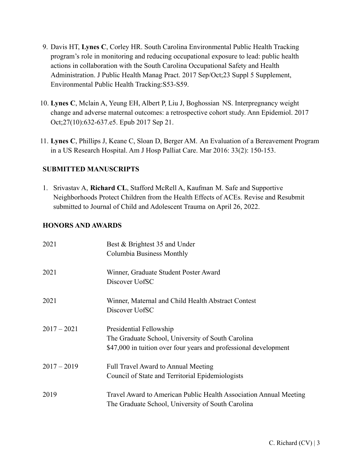- 9. Davis HT, **Lynes C**, Corley HR. South Carolina Environmental Public Health Tracking program's role in monitoring and reducing occupational exposure to lead: public health actions in collaboration with the South Carolina Occupational Safety and Health Administration. J Public Health Manag Pract. 2017 Sep/Oct;23 Suppl 5 Supplement, Environmental Public Health Tracking:S53-S59.
- 10. **Lynes C**, Mclain A, Yeung EH, Albert P, Liu J, Boghossian NS. Interpregnancy weight change and adverse maternal outcomes: a retrospective cohort study. Ann Epidemiol. 2017 Oct;27(10):632-637.e5. Epub 2017 Sep 21.
- 11. **Lynes C**, Phillips J, Keane C, Sloan D, Berger AM. An Evaluation of a Bereavement Program in a US Research Hospital. Am J Hosp Palliat Care. Mar 2016: 33(2): 150-153.

## **SUBMITTED MANUSCRIPTS**

1. Srivastav A, **Richard CL**, Stafford McRell A, Kaufman M. Safe and Supportive Neighborhoods Protect Children from the Health Effects of ACEs. Revise and Resubmit submitted to Journal of Child and Adolescent Trauma on April 26, 2022.

## **HONORS AND AWARDS**

| 2021          | Best & Brightest 35 and Under                                     |  |
|---------------|-------------------------------------------------------------------|--|
|               | Columbia Business Monthly                                         |  |
| 2021          | Winner, Graduate Student Poster Award                             |  |
|               | Discover UofSC                                                    |  |
| 2021          | Winner, Maternal and Child Health Abstract Contest                |  |
|               | Discover UofSC                                                    |  |
| $2017 - 2021$ | Presidential Fellowship                                           |  |
|               | The Graduate School, University of South Carolina                 |  |
|               | \$47,000 in tuition over four years and professional development  |  |
| $2017 - 2019$ | <b>Full Travel Award to Annual Meeting</b>                        |  |
|               | Council of State and Territorial Epidemiologists                  |  |
| 2019          | Travel Award to American Public Health Association Annual Meeting |  |
|               | The Graduate School, University of South Carolina                 |  |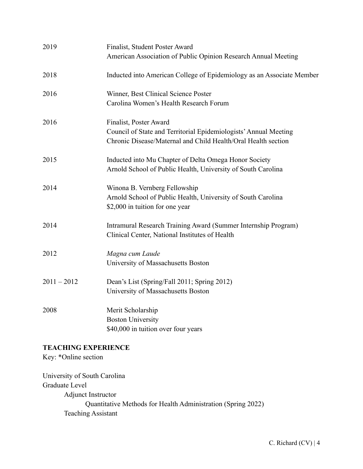| 2019          | Finalist, Student Poster Award<br>American Association of Public Opinion Research Annual Meeting                                                            |
|---------------|-------------------------------------------------------------------------------------------------------------------------------------------------------------|
| 2018          | Inducted into American College of Epidemiology as an Associate Member                                                                                       |
| 2016          | Winner, Best Clinical Science Poster<br>Carolina Women's Health Research Forum                                                                              |
| 2016          | Finalist, Poster Award<br>Council of State and Territorial Epidemiologists' Annual Meeting<br>Chronic Disease/Maternal and Child Health/Oral Health section |
| 2015          | Inducted into Mu Chapter of Delta Omega Honor Society<br>Arnold School of Public Health, University of South Carolina                                       |
| 2014          | Winona B. Vernberg Fellowship<br>Arnold School of Public Health, University of South Carolina<br>\$2,000 in tuition for one year                            |
| 2014          | Intramural Research Training Award (Summer Internship Program)<br>Clinical Center, National Institutes of Health                                            |
| 2012          | Magna cum Laude<br>University of Massachusetts Boston                                                                                                       |
| $2011 - 2012$ | Dean's List (Spring/Fall 2011; Spring 2012)<br>University of Massachusetts Boston                                                                           |
| 2008          | Merit Scholarship<br><b>Boston University</b><br>\$40,000 in tuition over four years                                                                        |

# **TEACHING EXPERIENCE**

Key: \*Online section

University of South Carolina Graduate Level Adjunct Instructor Quantitative Methods for Health Administration (Spring 2022) Teaching Assistant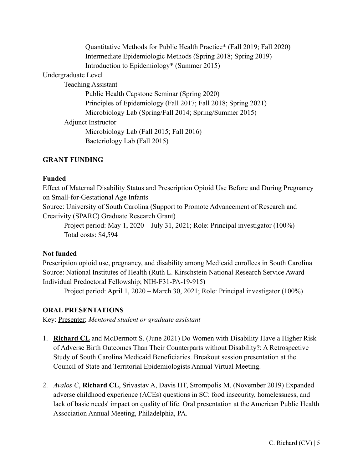Quantitative Methods for Public Health Practice\* (Fall 2019; Fall 2020) Intermediate Epidemiologic Methods (Spring 2018; Spring 2019) Introduction to Epidemiology\* (Summer 2015)

Undergraduate Level

Teaching Assistant

Public Health Capstone Seminar (Spring 2020) Principles of Epidemiology (Fall 2017; Fall 2018; Spring 2021) Microbiology Lab (Spring/Fall 2014; Spring/Summer 2015) Adjunct Instructor Microbiology Lab (Fall 2015; Fall 2016) Bacteriology Lab (Fall 2015)

#### **GRANT FUNDING**

#### **Funded**

Effect of Maternal Disability Status and Prescription Opioid Use Before and During Pregnancy on Small-for-Gestational Age Infants

Source: University of South Carolina (Support to Promote Advancement of Research and Creativity (SPARC) Graduate Research Grant)

Project period: May 1, 2020 – July 31, 2021; Role: Principal investigator (100%) Total costs: \$4,594

#### **Not funded**

Prescription opioid use, pregnancy, and disability among Medicaid enrollees in South Carolina Source: National Institutes of Health (Ruth L. Kirschstein National Research Service Award Individual Predoctoral Fellowship; NIH-F31-PA-19-915)

Project period: April 1, 2020 – March 30, 2021; Role: Principal investigator (100%)

#### **ORAL PRESENTATIONS**

Key: Presenter; *Mentored student or graduate assistant*

- 1. **Richard CL** and McDermott S. (June 2021) Do Women with Disability Have a Higher Risk of Adverse Birth Outcomes Than Their Counterparts without Disability?: A Retrospective Study of South Carolina Medicaid Beneficiaries. Breakout session presentation at the Council of State and Territorial Epidemiologists Annual Virtual Meeting.
- 2. *Avalos C*, **Richard CL**, Srivastav A, Davis HT, Strompolis M. (November 2019) Expanded adverse childhood experience (ACEs) questions in SC: food insecurity, homelessness, and lack of basic needs' impact on quality of life. Oral presentation at the American Public Health Association Annual Meeting, Philadelphia, PA.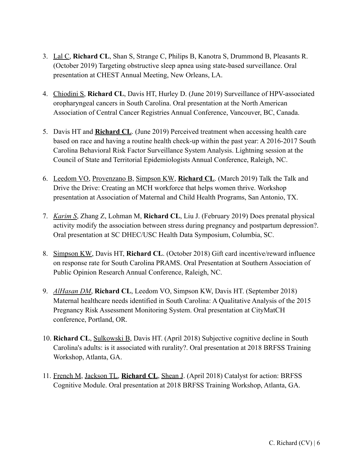- 3. Lal C, **Richard CL**, Shan S, Strange C, Philips B, Kanotra S, Drummond B, Pleasants R. (October 2019) Targeting obstructive sleep apnea using state-based surveillance. Oral presentation at CHEST Annual Meeting, New Orleans, LA.
- 4. Chiodini S, **Richard CL**, Davis HT, Hurley D. (June 2019) Surveillance of HPV-associated oropharyngeal cancers in South Carolina. Oral presentation at the North American Association of Central Cancer Registries Annual Conference, Vancouver, BC, Canada.
- 5. Davis HT and **Richard CL**. (June 2019) Perceived treatment when accessing health care based on race and having a routine health check-up within the past year: A 2016-2017 South Carolina Behavioral Risk Factor Surveillance System Analysis. Lightning session at the Council of State and Territorial Epidemiologists Annual Conference, Raleigh, NC.
- 6. Leedom VO, Provenzano B, Simpson KW, **Richard CL**. (March 2019) Talk the Talk and Drive the Drive: Creating an MCH workforce that helps women thrive. Workshop presentation at Association of Maternal and Child Health Programs, San Antonio, TX.
- 7. *Karim S*, Zhang Z, Lohman M, **Richard CL**, Liu J. (February 2019) Does prenatal physical activity modify the association between stress during pregnancy and postpartum depression?. Oral presentation at SC DHEC/USC Health Data Symposium, Columbia, SC.
- 8. Simpson KW, Davis HT, **Richard CL**. (October 2018) Gift card incentive/reward influence on response rate for South Carolina PRAMS. Oral Presentation at Southern Association of Public Opinion Research Annual Conference, Raleigh, NC.
- 9. *AlHasan DM*, **Richard CL**, Leedom VO, Simpson KW, Davis HT. (September 2018) Maternal healthcare needs identified in South Carolina: A Qualitative Analysis of the 2015 Pregnancy Risk Assessment Monitoring System. Oral presentation at CityMatCH conference, Portland, OR.
- 10. **Richard CL**, Sulkowski B, Davis HT. (April 2018) Subjective cognitive decline in South Carolina's adults: is it associated with rurality?. Oral presentation at 2018 BRFSS Training Workshop, Atlanta, GA.
- 11. French M, Jackson TL, **Richard CL**, Shean J. (April 2018) Catalyst for action: BRFSS Cognitive Module. Oral presentation at 2018 BRFSS Training Workshop, Atlanta, GA.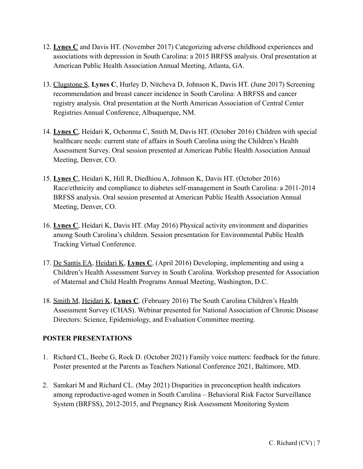- 12. **Lynes C** and Davis HT. (November 2017) Categorizing adverse childhood experiences and associations with depression in South Carolina: a 2015 BRFSS analysis. Oral presentation at American Public Health Association Annual Meeting, Atlanta, GA.
- 13. Clugstone S, **Lynes C**, Hurley D, Nitcheva D, Johnson K, Davis HT. (June 2017) Screening recommendation and breast cancer incidence in South Carolina: A BRFSS and cancer registry analysis. Oral presentation at the North American Association of Central Center Registries Annual Conference, Albuquerque, NM.
- 14. **Lynes C**, Heidari K, Ochonma C, Smith M, Davis HT. (October 2016) Children with special healthcare needs: current state of affairs in South Carolina using the Children's Health Assessment Survey. Oral session presented at American Public Health Association Annual Meeting, Denver, CO.
- 15. **Lynes C**, Heidari K, Hill R, Diedhiou A, Johnson K, Davis HT. (October 2016) Race/ethnicity and compliance to diabetes self-management in South Carolina: a 2011-2014 BRFSS analysis. Oral session presented at American Public Health Association Annual Meeting, Denver, CO.
- 16. **Lynes C**, Heidari K, Davis HT. (May 2016) Physical activity environment and disparities among South Carolina's children. Session presentation for Environmental Public Health Tracking Virtual Conference.
- 17. De Santis EA, Heidari K, **Lynes C**. (April 2016) Developing, implementing and using a Children's Health Assessment Survey in South Carolina. Workshop presented for Association of Maternal and Child Health Programs Annual Meeting, Washington, D.C.
- 18. Smith M, Heidari K, **Lynes C**. (February 2016) The South Carolina Children's Health Assessment Survey (CHAS). Webinar presented for National Association of Chronic Disease Directors: Science, Epidemiology, and Evaluation Committee meeting.

# **POSTER PRESENTATIONS**

- 1. Richard CL, Beebe G, Rock D. (October 2021) Family voice matters: feedback for the future. Poster presented at the Parents as Teachers National Conference 2021, Baltimore, MD.
- 2. Samkari M and Richard CL. (May 2021) Disparities in preconception health indicators among reproductive-aged women in South Carolina – Behavioral Risk Factor Surveillance System (BRFSS), 2012-2015, and Pregnancy Risk Assessment Monitoring System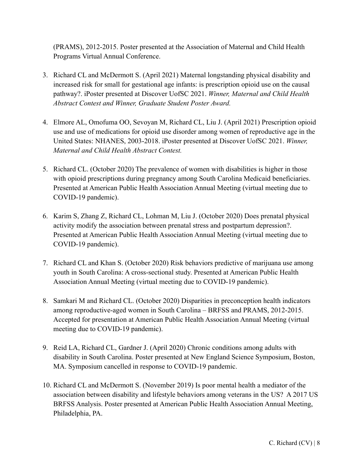(PRAMS), 2012-2015. Poster presented at the Association of Maternal and Child Health Programs Virtual Annual Conference.

- 3. Richard CL and McDermott S. (April 2021) Maternal longstanding physical disability and increased risk for small for gestational age infants: is prescription opioid use on the causal pathway?. iPoster presented at Discover UofSC 2021. *Winner, Maternal and Child Health Abstract Contest and Winner, Graduate Student Poster Award.*
- 4. Elmore AL, Omofuma OO, Sevoyan M, Richard CL, Liu J. (April 2021) Prescription opioid use and use of medications for opioid use disorder among women of reproductive age in the United States: NHANES, 2003-2018. iPoster presented at Discover UofSC 2021. *Winner, Maternal and Child Health Abstract Contest.*
- 5. Richard CL. (October 2020) The prevalence of women with disabilities is higher in those with opioid prescriptions during pregnancy among South Carolina Medicaid beneficiaries. Presented at American Public Health Association Annual Meeting (virtual meeting due to COVID-19 pandemic).
- 6. Karim S, Zhang Z, Richard CL, Lohman M, Liu J. (October 2020) Does prenatal physical activity modify the association between prenatal stress and postpartum depression?. Presented at American Public Health Association Annual Meeting (virtual meeting due to COVID-19 pandemic).
- 7. Richard CL and Khan S. (October 2020) Risk behaviors predictive of marijuana use among youth in South Carolina: A cross-sectional study. Presented at American Public Health Association Annual Meeting (virtual meeting due to COVID-19 pandemic).
- 8. Samkari M and Richard CL. (October 2020) Disparities in preconception health indicators among reproductive-aged women in South Carolina – BRFSS and PRAMS, 2012-2015. Accepted for presentation at American Public Health Association Annual Meeting (virtual meeting due to COVID-19 pandemic).
- 9. Reid LA, Richard CL, Gardner J. (April 2020) Chronic conditions among adults with disability in South Carolina. Poster presented at New England Science Symposium, Boston, MA. Symposium cancelled in response to COVID-19 pandemic.
- 10. Richard CL and McDermott S. (November 2019) Is poor mental health a mediator of the association between disability and lifestyle behaviors among veterans in the US? A 2017 US BRFSS Analysis. Poster presented at American Public Health Association Annual Meeting, Philadelphia, PA.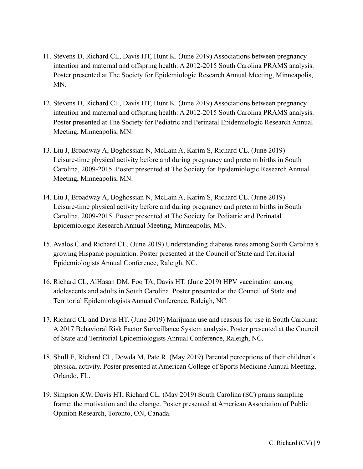- 11. Stevens D, Richard CL, Davis HT, Hunt K. (June 2019) Associations between pregnancy intention and maternal and offspring health: A 2012-2015 South Carolina PRAMS analysis. Poster presented at The Society for Epidemiologic Research Annual Meeting, Minneapolis, MN.
- 12. Stevens D, Richard CL, Davis HT, Hunt K. (June 2019) Associations between pregnancy intention and maternal and offspring health: A 2012-2015 South Carolina PRAMS analysis. Poster presented at The Society for Pediatric and Perinatal Epidemiologic Research Annual Meeting, Minneapolis, MN.
- 13. Liu J, Broadway A, Boghossian N, McLain A, Karim S, Richard CL. (June 2019) Leisure-time physical activity before and during pregnancy and preterm births in South Carolina, 2009-2015. Poster presented at The Society for Epidemiologic Research Annual Meeting, Minneapolis, MN.
- 14. Liu J, Broadway A, Boghossian N, McLain A, Karim S, Richard CL. (June 2019) Leisure-time physical activity before and during pregnancy and preterm births in South Carolina, 2009-2015. Poster presented at The Society for Pediatric and Perinatal Epidemiologic Research Annual Meeting, Minneapolis, MN.
- 15. Avalos C and Richard CL. (June 2019) Understanding diabetes rates among South Carolina's growing Hispanic population. Poster presented at the Council of State and Territorial Epidemiologists Annual Conference, Raleigh, NC.
- 16. Richard CL, AlHasan DM, Foo TA, Davis HT. (June 2019) HPV vaccination among adolescents and adults in South Carolina. Poster presented at the Council of State and Territorial Epidemiologists Annual Conference, Raleigh, NC.
- 17. Richard CL and Davis HT. (June 2019) Marijuana use and reasons for use in South Carolina: A 2017 Behavioral Risk Factor Surveillance System analysis. Poster presented at the Council of State and Territorial Epidemiologists Annual Conference, Raleigh, NC.
- 18. Shull E, Richard CL, Dowda M, Pate R. (May 2019) Parental perceptions of their children's physical activity. Poster presented at American College of Sports Medicine Annual Meeting, Orlando, FL.
- 19. Simpson KW, Davis HT, Richard CL. (May 2019) South Carolina (SC) prams sampling frame: the motivation and the change. Poster presented at American Association of Public Opinion Research, Toronto, ON, Canada.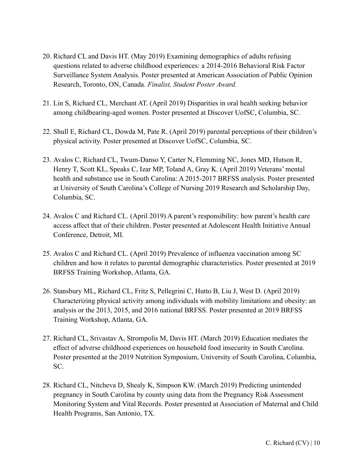- 20. Richard CL and Davis HT. (May 2019) Examining demographics of adults refusing questions related to adverse childhood experiences: a 2014-2016 Behavioral Risk Factor Surveillance System Analysis. Poster presented at American Association of Public Opinion Research, Toronto, ON, Canada. *Finalist, Student Poster Award.*
- 21. Lin S, Richard CL, Merchant AT. (April 2019) Disparities in oral health seeking behavior among childbearing-aged women. Poster presented at Discover UofSC, Columbia, SC.
- 22. Shull E, Richard CL, Dowda M, Pate R. (April 2019) parental perceptions of their children's physical activity. Poster presented at Discover UofSC, Columbia, SC.
- 23. Avalos C, Richard CL, Twum-Danso Y, Carter N, Flemming NC, Jones MD, Hutson R, Henry T, Scott KL, Speaks C, Izar MP, Toland A, Gray K. (April 2019) Veterans' mental health and substance use in South Carolina: A 2015-2017 BRFSS analysis. Poster presented at University of South Carolina's College of Nursing 2019 Research and Scholarship Day, Columbia, SC.
- 24. Avalos C and Richard CL. (April 2019) A parent's responsibility: how parent's health care access affect that of their children. Poster presented at Adolescent Health Initiative Annual Conference, Detroit, MI.
- 25. Avalos C and Richard CL. (April 2019) Prevalence of influenza vaccination among SC children and how it relates to parental demographic characteristics. Poster presented at 2019 BRFSS Training Workshop, Atlanta, GA.
- 26. Stansbury ML, Richard CL, Fritz S, Pellegrini C, Hutto B, Liu J, West D. (April 2019) Characterizing physical activity among individuals with mobility limitations and obesity: an analysis or the 2013, 2015, and 2016 national BRFSS. Poster presented at 2019 BRFSS Training Workshop, Atlanta, GA.
- 27. Richard CL, Srivastav A, Strompolis M, Davis HT. (March 2019) Education mediates the effect of adverse childhood experiences on household food insecurity in South Carolina. Poster presented at the 2019 Nutrition Symposium, University of South Carolina, Columbia, SC.
- 28. Richard CL, Nitcheva D, Shealy K, Simpson KW. (March 2019) Predicting unintended pregnancy in South Carolina by county using data from the Pregnancy Risk Assessment Monitoring System and Vital Records. Poster presented at Association of Maternal and Child Health Programs, San Antonio, TX.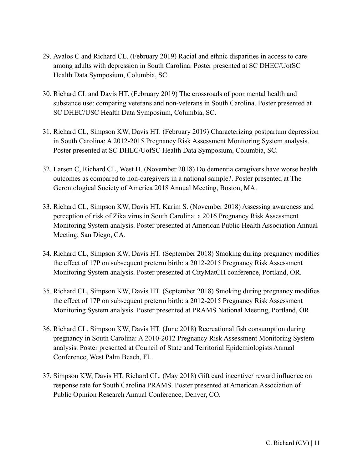- 29. Avalos C and Richard CL. (February 2019) Racial and ethnic disparities in access to care among adults with depression in South Carolina. Poster presented at SC DHEC/UofSC Health Data Symposium, Columbia, SC.
- 30. Richard CL and Davis HT. (February 2019) The crossroads of poor mental health and substance use: comparing veterans and non-veterans in South Carolina. Poster presented at SC DHEC/USC Health Data Symposium, Columbia, SC.
- 31. Richard CL, Simpson KW, Davis HT. (February 2019) Characterizing postpartum depression in South Carolina: A 2012-2015 Pregnancy Risk Assessment Monitoring System analysis. Poster presented at SC DHEC/UofSC Health Data Symposium, Columbia, SC.
- 32. Larsen C, Richard CL, West D. (November 2018) Do dementia caregivers have worse health outcomes as compared to non-caregivers in a national sample?. Poster presented at The Gerontological Society of America 2018 Annual Meeting, Boston, MA.
- 33. Richard CL, Simpson KW, Davis HT, Karim S. (November 2018) Assessing awareness and perception of risk of Zika virus in South Carolina: a 2016 Pregnancy Risk Assessment Monitoring System analysis. Poster presented at American Public Health Association Annual Meeting, San Diego, CA.
- 34. Richard CL, Simpson KW, Davis HT. (September 2018) Smoking during pregnancy modifies the effect of 17P on subsequent preterm birth: a 2012-2015 Pregnancy Risk Assessment Monitoring System analysis. Poster presented at CityMatCH conference, Portland, OR.
- 35. Richard CL, Simpson KW, Davis HT. (September 2018) Smoking during pregnancy modifies the effect of 17P on subsequent preterm birth: a 2012-2015 Pregnancy Risk Assessment Monitoring System analysis. Poster presented at PRAMS National Meeting, Portland, OR.
- 36. Richard CL, Simpson KW, Davis HT. (June 2018) Recreational fish consumption during pregnancy in South Carolina: A 2010-2012 Pregnancy Risk Assessment Monitoring System analysis. Poster presented at Council of State and Territorial Epidemiologists Annual Conference, West Palm Beach, FL.
- 37. Simpson KW, Davis HT, Richard CL. (May 2018) Gift card incentive/ reward influence on response rate for South Carolina PRAMS. Poster presented at American Association of Public Opinion Research Annual Conference, Denver, CO.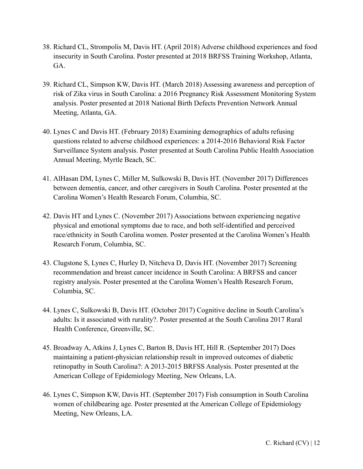- 38. Richard CL, Strompolis M, Davis HT. (April 2018) Adverse childhood experiences and food insecurity in South Carolina. Poster presented at 2018 BRFSS Training Workshop, Atlanta, GA.
- 39. Richard CL, Simpson KW, Davis HT. (March 2018) Assessing awareness and perception of risk of Zika virus in South Carolina: a 2016 Pregnancy Risk Assessment Monitoring System analysis. Poster presented at 2018 National Birth Defects Prevention Network Annual Meeting, Atlanta, GA.
- 40. Lynes C and Davis HT. (February 2018) Examining demographics of adults refusing questions related to adverse childhood experiences: a 2014-2016 Behavioral Risk Factor Surveillance System analysis. Poster presented at South Carolina Public Health Association Annual Meeting, Myrtle Beach, SC.
- 41. AlHasan DM, Lynes C, Miller M, Sulkowski B, Davis HT. (November 2017) Differences between dementia, cancer, and other caregivers in South Carolina. Poster presented at the Carolina Women's Health Research Forum, Columbia, SC.
- 42. Davis HT and Lynes C. (November 2017) Associations between experiencing negative physical and emotional symptoms due to race, and both self-identified and perceived race/ethnicity in South Carolina women. Poster presented at the Carolina Women's Health Research Forum, Columbia, SC.
- 43. Clugstone S, Lynes C, Hurley D, Nitcheva D, Davis HT. (November 2017) Screening recommendation and breast cancer incidence in South Carolina: A BRFSS and cancer registry analysis. Poster presented at the Carolina Women's Health Research Forum, Columbia, SC.
- 44. Lynes C, Sulkowski B, Davis HT. (October 2017) Cognitive decline in South Carolina's adults: Is it associated with rurality?. Poster presented at the South Carolina 2017 Rural Health Conference, Greenville, SC.
- 45. Broadway A, Atkins J, Lynes C, Barton B, Davis HT, Hill R. (September 2017) Does maintaining a patient-physician relationship result in improved outcomes of diabetic retinopathy in South Carolina?: A 2013-2015 BRFSS Analysis. Poster presented at the American College of Epidemiology Meeting, New Orleans, LA.
- 46. Lynes C, Simpson KW, Davis HT. (September 2017) Fish consumption in South Carolina women of childbearing age. Poster presented at the American College of Epidemiology Meeting, New Orleans, LA.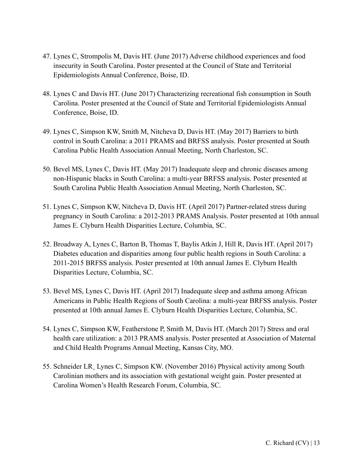- 47. Lynes C, Strompolis M, Davis HT. (June 2017) Adverse childhood experiences and food insecurity in South Carolina. Poster presented at the Council of State and Territorial Epidemiologists Annual Conference, Boise, ID.
- 48. Lynes C and Davis HT. (June 2017) Characterizing recreational fish consumption in South Carolina. Poster presented at the Council of State and Territorial Epidemiologists Annual Conference, Boise, ID.
- 49. Lynes C, Simpson KW, Smith M, Nitcheva D, Davis HT. (May 2017) Barriers to birth control in South Carolina: a 2011 PRAMS and BRFSS analysis. Poster presented at South Carolina Public Health Association Annual Meeting, North Charleston, SC.
- 50. Bevel MS, Lynes C, Davis HT. (May 2017) Inadequate sleep and chronic diseases among non-Hispanic blacks in South Carolina: a multi-year BRFSS analysis. Poster presented at South Carolina Public Health Association Annual Meeting, North Charleston, SC.
- 51. Lynes C, Simpson KW, Nitcheva D, Davis HT. (April 2017) Partner-related stress during pregnancy in South Carolina: a 2012-2013 PRAMS Analysis. Poster presented at 10th annual James E. Clyburn Health Disparities Lecture, Columbia, SC.
- 52. Broadway A, Lynes C, Barton B, Thomas T, Baylis Atkin J, Hill R, Davis HT. (April 2017) Diabetes education and disparities among four public health regions in South Carolina: a 2011-2015 BRFSS analysis. Poster presented at 10th annual James E. Clyburn Health Disparities Lecture, Columbia, SC.
- 53. Bevel MS, Lynes C, Davis HT. (April 2017) Inadequate sleep and asthma among African Americans in Public Health Regions of South Carolina: a multi-year BRFSS analysis. Poster presented at 10th annual James E. Clyburn Health Disparities Lecture, Columbia, SC.
- 54. Lynes C, Simpson KW, Featherstone P, Smith M, Davis HT. (March 2017) Stress and oral health care utilization: a 2013 PRAMS analysis. Poster presented at Association of Maternal and Child Health Programs Annual Meeting, Kansas City, MO.
- 55. Schneider LR¸ Lynes C, Simpson KW. (November 2016) Physical activity among South Carolinian mothers and its association with gestational weight gain. Poster presented at Carolina Women's Health Research Forum, Columbia, SC.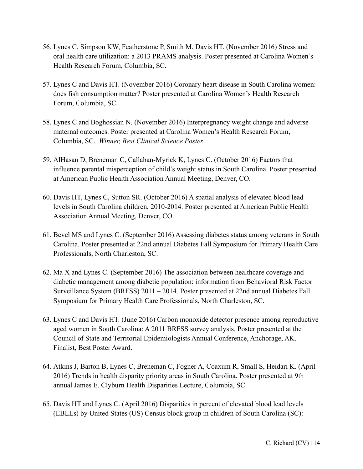- 56. Lynes C, Simpson KW, Featherstone P, Smith M, Davis HT. (November 2016) Stress and oral health care utilization: a 2013 PRAMS analysis. Poster presented at Carolina Women's Health Research Forum, Columbia, SC.
- 57. Lynes C and Davis HT. (November 2016) Coronary heart disease in South Carolina women: does fish consumption matter? Poster presented at Carolina Women's Health Research Forum, Columbia, SC.
- 58. Lynes C and Boghossian N. (November 2016) Interpregnancy weight change and adverse maternal outcomes. Poster presented at Carolina Women's Health Research Forum, Columbia, SC. *Winner, Best Clinical Science Poster.*
- 59. AlHasan D, Breneman C, Callahan-Myrick K, Lynes C. (October 2016) Factors that influence parental misperception of child's weight status in South Carolina. Poster presented at American Public Health Association Annual Meeting, Denver, CO.
- 60. Davis HT, Lynes C, Sutton SR. (October 2016) A spatial analysis of elevated blood lead levels in South Carolina children, 2010-2014. Poster presented at American Public Health Association Annual Meeting, Denver, CO.
- 61. Bevel MS and Lynes C. (September 2016) Assessing diabetes status among veterans in South Carolina. Poster presented at 22nd annual Diabetes Fall Symposium for Primary Health Care Professionals, North Charleston, SC.
- 62. Ma X and Lynes C. (September 2016) The association between healthcare coverage and diabetic management among diabetic population: information from Behavioral Risk Factor Surveillance System (BRFSS) 2011 – 2014. Poster presented at 22nd annual Diabetes Fall Symposium for Primary Health Care Professionals, North Charleston, SC.
- 63. Lynes C and Davis HT. (June 2016) Carbon monoxide detector presence among reproductive aged women in South Carolina: A 2011 BRFSS survey analysis. Poster presented at the Council of State and Territorial Epidemiologists Annual Conference, Anchorage, AK. Finalist, Best Poster Award.
- 64. Atkins J, Barton B, Lynes C, Breneman C, Fogner A, Coaxum R, Small S, Heidari K. (April 2016) Trends in health disparity priority areas in South Carolina. Poster presented at 9th annual James E. Clyburn Health Disparities Lecture, Columbia, SC.
- 65. Davis HT and Lynes C. (April 2016) Disparities in percent of elevated blood lead levels (EBLLs) by United States (US) Census block group in children of South Carolina (SC):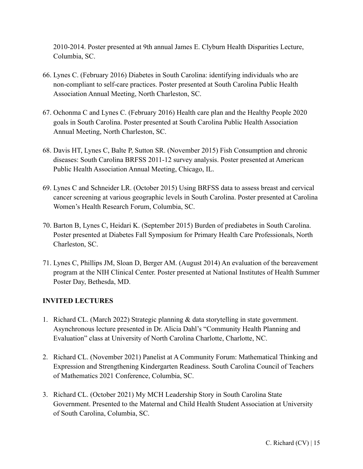2010-2014. Poster presented at 9th annual James E. Clyburn Health Disparities Lecture, Columbia, SC.

- 66. Lynes C. (February 2016) Diabetes in South Carolina: identifying individuals who are non-compliant to self-care practices. Poster presented at South Carolina Public Health Association Annual Meeting, North Charleston, SC.
- 67. Ochonma C and Lynes C. (February 2016) Health care plan and the Healthy People 2020 goals in South Carolina. Poster presented at South Carolina Public Health Association Annual Meeting, North Charleston, SC.
- 68. Davis HT, Lynes C, Balte P, Sutton SR. (November 2015) Fish Consumption and chronic diseases: South Carolina BRFSS 2011-12 survey analysis. Poster presented at American Public Health Association Annual Meeting, Chicago, IL.
- 69. Lynes C and Schneider LR. (October 2015) Using BRFSS data to assess breast and cervical cancer screening at various geographic levels in South Carolina. Poster presented at Carolina Women's Health Research Forum, Columbia, SC.
- 70. Barton B, Lynes C, Heidari K. (September 2015) Burden of prediabetes in South Carolina. Poster presented at Diabetes Fall Symposium for Primary Health Care Professionals, North Charleston, SC.
- 71. Lynes C, Phillips JM, Sloan D, Berger AM. (August 2014) An evaluation of the bereavement program at the NIH Clinical Center. Poster presented at National Institutes of Health Summer Poster Day, Bethesda, MD.

# **INVITED LECTURES**

- 1. Richard CL. (March 2022) Strategic planning & data storytelling in state government. Asynchronous lecture presented in Dr. Alicia Dahl's "Community Health Planning and Evaluation" class at University of North Carolina Charlotte, Charlotte, NC.
- 2. Richard CL. (November 2021) Panelist at A Community Forum: Mathematical Thinking and Expression and Strengthening Kindergarten Readiness. South Carolina Council of Teachers of Mathematics 2021 Conference, Columbia, SC.
- 3. Richard CL. (October 2021) My MCH Leadership Story in South Carolina State Government. Presented to the Maternal and Child Health Student Association at University of South Carolina, Columbia, SC.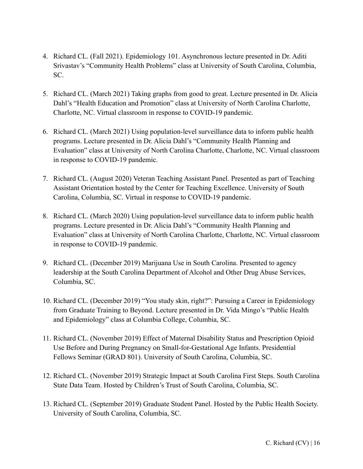- 4. Richard CL. (Fall 2021). Epidemiology 101. Asynchronous lecture presented in Dr. Aditi Srivastav's "Community Health Problems" class at University of South Carolina, Columbia, SC.
- 5. Richard CL. (March 2021) Taking graphs from good to great. Lecture presented in Dr. Alicia Dahl's "Health Education and Promotion" class at University of North Carolina Charlotte, Charlotte, NC. Virtual classroom in response to COVID-19 pandemic.
- 6. Richard CL. (March 2021) Using population-level surveillance data to inform public health programs. Lecture presented in Dr. Alicia Dahl's "Community Health Planning and Evaluation" class at University of North Carolina Charlotte, Charlotte, NC. Virtual classroom in response to COVID-19 pandemic.
- 7. Richard CL. (August 2020) Veteran Teaching Assistant Panel. Presented as part of Teaching Assistant Orientation hosted by the Center for Teaching Excellence. University of South Carolina, Columbia, SC. Virtual in response to COVID-19 pandemic.
- 8. Richard CL. (March 2020) Using population-level surveillance data to inform public health programs. Lecture presented in Dr. Alicia Dahl's "Community Health Planning and Evaluation" class at University of North Carolina Charlotte, Charlotte, NC. Virtual classroom in response to COVID-19 pandemic.
- 9. Richard CL. (December 2019) Marijuana Use in South Carolina. Presented to agency leadership at the South Carolina Department of Alcohol and Other Drug Abuse Services, Columbia, SC.
- 10. Richard CL. (December 2019) "You study skin, right?": Pursuing a Career in Epidemiology from Graduate Training to Beyond. Lecture presented in Dr. Vida Mingo's "Public Health and Epidemiology" class at Columbia College, Columbia, SC.
- 11. Richard CL. (November 2019) Effect of Maternal Disability Status and Prescription Opioid Use Before and During Pregnancy on Small-for-Gestational Age Infants. Presidential Fellows Seminar (GRAD 801). University of South Carolina, Columbia, SC.
- 12. Richard CL. (November 2019) Strategic Impact at South Carolina First Steps. South Carolina State Data Team. Hosted by Children's Trust of South Carolina, Columbia, SC.
- 13. Richard CL. (September 2019) Graduate Student Panel. Hosted by the Public Health Society. University of South Carolina, Columbia, SC.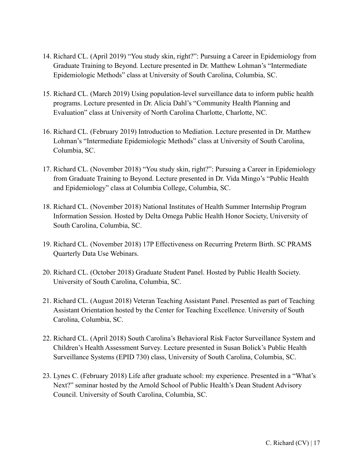- 14. Richard CL. (April 2019) "You study skin, right?": Pursuing a Career in Epidemiology from Graduate Training to Beyond. Lecture presented in Dr. Matthew Lohman's "Intermediate Epidemiologic Methods" class at University of South Carolina, Columbia, SC.
- 15. Richard CL. (March 2019) Using population-level surveillance data to inform public health programs. Lecture presented in Dr. Alicia Dahl's "Community Health Planning and Evaluation" class at University of North Carolina Charlotte, Charlotte, NC.
- 16. Richard CL. (February 2019) Introduction to Mediation. Lecture presented in Dr. Matthew Lohman's "Intermediate Epidemiologic Methods" class at University of South Carolina, Columbia, SC.
- 17. Richard CL. (November 2018) "You study skin, right?": Pursuing a Career in Epidemiology from Graduate Training to Beyond. Lecture presented in Dr. Vida Mingo's "Public Health and Epidemiology" class at Columbia College, Columbia, SC.
- 18. Richard CL. (November 2018) National Institutes of Health Summer Internship Program Information Session. Hosted by Delta Omega Public Health Honor Society, University of South Carolina, Columbia, SC.
- 19. Richard CL. (November 2018) 17P Effectiveness on Recurring Preterm Birth. SC PRAMS Quarterly Data Use Webinars.
- 20. Richard CL. (October 2018) Graduate Student Panel. Hosted by Public Health Society. University of South Carolina, Columbia, SC.
- 21. Richard CL. (August 2018) Veteran Teaching Assistant Panel. Presented as part of Teaching Assistant Orientation hosted by the Center for Teaching Excellence. University of South Carolina, Columbia, SC.
- 22. Richard CL. (April 2018) South Carolina's Behavioral Risk Factor Surveillance System and Children's Health Assessment Survey. Lecture presented in Susan Bolick's Public Health Surveillance Systems (EPID 730) class, University of South Carolina, Columbia, SC.
- 23. Lynes C. (February 2018) Life after graduate school: my experience. Presented in a "What's Next?" seminar hosted by the Arnold School of Public Health's Dean Student Advisory Council. University of South Carolina, Columbia, SC.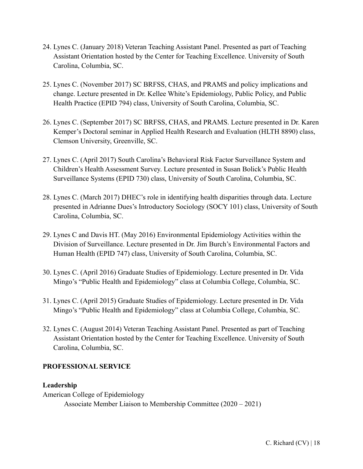- 24. Lynes C. (January 2018) Veteran Teaching Assistant Panel. Presented as part of Teaching Assistant Orientation hosted by the Center for Teaching Excellence. University of South Carolina, Columbia, SC.
- 25. Lynes C. (November 2017) SC BRFSS, CHAS, and PRAMS and policy implications and change. Lecture presented in Dr. Kellee White's Epidemiology, Public Policy, and Public Health Practice (EPID 794) class, University of South Carolina, Columbia, SC.
- 26. Lynes C. (September 2017) SC BRFSS, CHAS, and PRAMS. Lecture presented in Dr. Karen Kemper's Doctoral seminar in Applied Health Research and Evaluation (HLTH 8890) class, Clemson University, Greenville, SC.
- 27. Lynes C. (April 2017) South Carolina's Behavioral Risk Factor Surveillance System and Children's Health Assessment Survey. Lecture presented in Susan Bolick's Public Health Surveillance Systems (EPID 730) class, University of South Carolina, Columbia, SC.
- 28. Lynes C. (March 2017) DHEC's role in identifying health disparities through data. Lecture presented in Adrianne Dues's Introductory Sociology (SOCY 101) class, University of South Carolina, Columbia, SC.
- 29. Lynes C and Davis HT. (May 2016) Environmental Epidemiology Activities within the Division of Surveillance. Lecture presented in Dr. Jim Burch's Environmental Factors and Human Health (EPID 747) class, University of South Carolina, Columbia, SC.
- 30. Lynes C. (April 2016) Graduate Studies of Epidemiology. Lecture presented in Dr. Vida Mingo's "Public Health and Epidemiology" class at Columbia College, Columbia, SC.
- 31. Lynes C. (April 2015) Graduate Studies of Epidemiology. Lecture presented in Dr. Vida Mingo's "Public Health and Epidemiology" class at Columbia College, Columbia, SC.
- 32. Lynes C. (August 2014) Veteran Teaching Assistant Panel. Presented as part of Teaching Assistant Orientation hosted by the Center for Teaching Excellence. University of South Carolina, Columbia, SC.

#### **PROFESSIONAL SERVICE**

#### **Leadership**

American College of Epidemiology Associate Member Liaison to Membership Committee (2020 – 2021)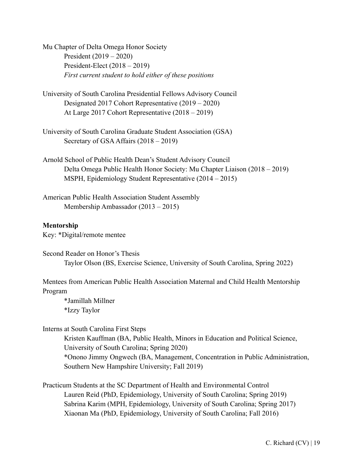Mu Chapter of Delta Omega Honor Society President (2019 – 2020) President-Elect (2018 – 2019) *First current student to hold either of these positions*

- University of South Carolina Presidential Fellows Advisory Council Designated 2017 Cohort Representative (2019 – 2020) At Large 2017 Cohort Representative (2018 – 2019)
- University of South Carolina Graduate Student Association (GSA) Secretary of GSA Affairs (2018 – 2019)
- Arnold School of Public Health Dean's Student Advisory Council Delta Omega Public Health Honor Society: Mu Chapter Liaison (2018 – 2019) MSPH, Epidemiology Student Representative (2014 – 2015)
- American Public Health Association Student Assembly Membership Ambassador (2013 – 2015)

#### **Mentorship**

Key: \*Digital/remote mentee

Second Reader on Honor's Thesis Taylor Olson (BS, Exercise Science, University of South Carolina, Spring 2022)

Mentees from American Public Health Association Maternal and Child Health Mentorship Program

\*Jamillah Millner \*Izzy Taylor

## Interns at South Carolina First Steps

Kristen Kauffman (BA, Public Health, Minors in Education and Political Science, University of South Carolina; Spring 2020) \*Onono Jimmy Ongwech (BA, Management, Concentration in Public Administration, Southern New Hampshire University; Fall 2019)

Practicum Students at the SC Department of Health and Environmental Control Lauren Reid (PhD, Epidemiology, University of South Carolina; Spring 2019) Sabrina Karim (MPH, Epidemiology, University of South Carolina; Spring 2017) Xiaonan Ma (PhD, Epidemiology, University of South Carolina; Fall 2016)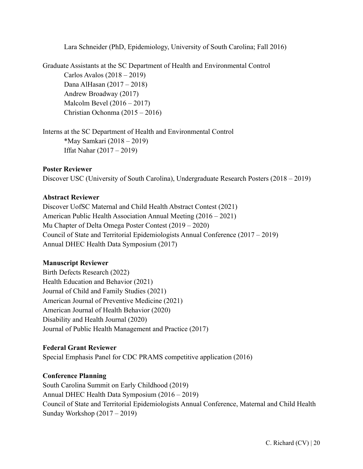Lara Schneider (PhD, Epidemiology, University of South Carolina; Fall 2016)

Graduate Assistants at the SC Department of Health and Environmental Control Carlos Avalos (2018 – 2019) Dana AlHasan (2017 – 2018) Andrew Broadway (2017) Malcolm Bevel (2016 – 2017) Christian Ochonma (2015 – 2016)

Interns at the SC Department of Health and Environmental Control \*May Samkari (2018 – 2019) Iffat Nahar (2017 – 2019)

#### **Poster Reviewer**

Discover USC (University of South Carolina), Undergraduate Research Posters (2018 – 2019)

#### **Abstract Reviewer**

Discover UofSC Maternal and Child Health Abstract Contest (2021) American Public Health Association Annual Meeting (2016 – 2021) Mu Chapter of Delta Omega Poster Contest (2019 – 2020) Council of State and Territorial Epidemiologists Annual Conference (2017 – 2019) Annual DHEC Health Data Symposium (2017)

#### **Manuscript Reviewer**

Birth Defects Research (2022) Health Education and Behavior (2021) Journal of Child and Family Studies (2021) American Journal of Preventive Medicine (2021) American Journal of Health Behavior (2020) Disability and Health Journal (2020) Journal of Public Health Management and Practice (2017)

#### **Federal Grant Reviewer**

Special Emphasis Panel for CDC PRAMS competitive application (2016)

# **Conference Planning**

South Carolina Summit on Early Childhood (2019) Annual DHEC Health Data Symposium (2016 – 2019) Council of State and Territorial Epidemiologists Annual Conference, Maternal and Child Health Sunday Workshop (2017 – 2019)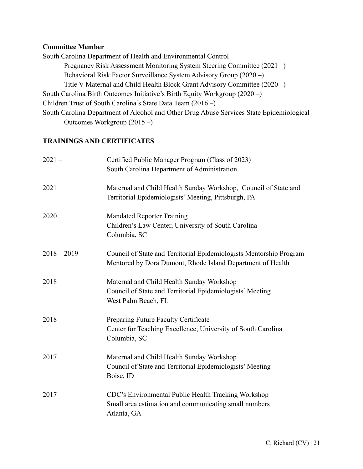#### **Committee Member**

South Carolina Department of Health and Environmental Control Pregnancy Risk Assessment Monitoring System Steering Committee (2021 –) Behavioral Risk Factor Surveillance System Advisory Group (2020 –) Title V Maternal and Child Health Block Grant Advisory Committee (2020 –) South Carolina Birth Outcomes Initiative's Birth Equity Workgroup (2020 –) Children Trust of South Carolina's State Data Team (2016 –) South Carolina Department of Alcohol and Other Drug Abuse Services State Epidemiological Outcomes Workgroup (2015 –)

#### **TRAININGS AND CERTIFICATES**

| $2021 -$      | Certified Public Manager Program (Class of 2023)<br>South Carolina Department of Administration                                   |  |
|---------------|-----------------------------------------------------------------------------------------------------------------------------------|--|
| 2021          | Maternal and Child Health Sunday Workshop, Council of State and<br>Territorial Epidemiologists' Meeting, Pittsburgh, PA           |  |
| 2020          | <b>Mandated Reporter Training</b><br>Children's Law Center, University of South Carolina<br>Columbia, SC                          |  |
| $2018 - 2019$ | Council of State and Territorial Epidemiologists Mentorship Program<br>Mentored by Dora Dumont, Rhode Island Department of Health |  |
| 2018          | Maternal and Child Health Sunday Workshop<br>Council of State and Territorial Epidemiologists' Meeting<br>West Palm Beach, FL     |  |
| 2018          | Preparing Future Faculty Certificate<br>Center for Teaching Excellence, University of South Carolina<br>Columbia, SC              |  |
| 2017          | Maternal and Child Health Sunday Workshop<br>Council of State and Territorial Epidemiologists' Meeting<br>Boise, ID               |  |
| 2017          | CDC's Environmental Public Health Tracking Workshop<br>Small area estimation and communicating small numbers<br>Atlanta, GA       |  |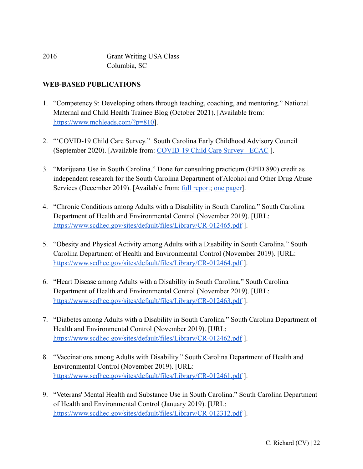| 2016 | <b>Grant Writing USA Class</b> |
|------|--------------------------------|
|      | Columbia, SC                   |

## **WEB-BASED PUBLICATIONS**

- 1. "Competency 9: Developing others through teaching, coaching, and mentoring." National Maternal and Child Health Trainee Blog (October 2021). [Available from: [https://www.mchleads.com/?p=810\]](https://www.mchleads.com/?p=810).
- 2. "'COVID-19 Child Care Survey." South Carolina Early Childhood Advisory Council (September 2020). [Available from: COVID-19 Child [Care Survey - ECAC](https://earlychildhoodsc.org/what-we-do/build-it-back-better-survey/) ].
- 3. "Marijuana Use in South Carolina." Done for consulting practicum (EPID 890) credit as independent research for the South Carolina Department of Alcohol and Other Drug Abuse Services (December 2019). [Available from: [full report;](https://chelsearichard.files.wordpress.com/2019/12/marijuana-use-in-south-carolina-final.crichard.pdf) [one pager\]](https://chelsearichard.files.wordpress.com/2019/12/one-pager.cr_.11dec2019.pdf).
- 4. "Chronic Conditions among Adults with a Disability in South Carolina." South Carolina Department of Health and Environmental Control (November 2019). [URL: <https://www.scdhec.gov/sites/default/files/Library/CR-012465.pdf> ].
- 5. "Obesity and Physical Activity among Adults with a Disability in South Carolina." South Carolina Department of Health and Environmental Control (November 2019). [URL: <https://www.scdhec.gov/sites/default/files/Library/CR-012464.pdf>].
- 6. "Heart Disease among Adults with a Disability in South Carolina." South Carolina Department of Health and Environmental Control (November 2019). [URL: <https://www.scdhec.gov/sites/default/files/Library/CR-012463.pdf> ].
- 7. "Diabetes among Adults with a Disability in South Carolina." South Carolina Department of Health and Environmental Control (November 2019). [URL: <https://www.scdhec.gov/sites/default/files/Library/CR-012462.pdf> ].
- 8. "Vaccinations among Adults with Disability." South Carolina Department of Health and Environmental Control (November 2019). [URL: <https://www.scdhec.gov/sites/default/files/Library/CR-012461.pdf> ].
- 9. "Veterans' Mental Health and Substance Use in South Carolina." South Carolina Department of Health and Environmental Control (January 2019). [URL: <https://www.scdhec.gov/sites/default/files/Library/CR-012312.pdf> ].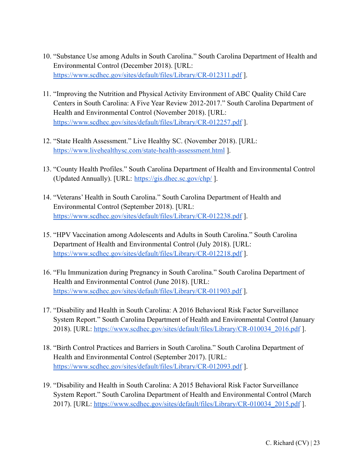- 10. "Substance Use among Adults in South Carolina." South Carolina Department of Health and Environmental Control (December 2018). [URL: <https://www.scdhec.gov/sites/default/files/Library/CR-012311.pdf> ].
- 11. "Improving the Nutrition and Physical Activity Environment of ABC Quality Child Care Centers in South Carolina: A Five Year Review 2012-2017." South Carolina Department of Health and Environmental Control (November 2018). [URL: <https://www.scdhec.gov/sites/default/files/Library/CR-012257.pdf> ].
- 12. "State Health Assessment." Live Healthy SC. (November 2018). [URL: <https://www.livehealthysc.com/state-health-assessment.html> ].
- 13. "County Health Profiles." South Carolina Department of Health and Environmental Control (Updated Annually). [URL: <https://gis.dhec.sc.gov/chp/>].
- 14. "Veterans' Health in South Carolina." South Carolina Department of Health and Environmental Control (September 2018). [URL: <https://www.scdhec.gov/sites/default/files/Library/CR-012238.pdf> ].
- 15. "HPV Vaccination among Adolescents and Adults in South Carolina." South Carolina Department of Health and Environmental Control (July 2018). [URL: <https://www.scdhec.gov/sites/default/files/Library/CR-012218.pdf> ].
- 16. "Flu Immunization during Pregnancy in South Carolina." South Carolina Department of Health and Environmental Control (June 2018). [URL: <https://www.scdhec.gov/sites/default/files/Library/CR-011903.pdf> ].
- 17. "Disability and Health in South Carolina: A 2016 Behavioral Risk Factor Surveillance System Report." South Carolina Department of Health and Environmental Control (January 2018). [URL: [https://www.scdhec.gov/sites/default/files/Library/CR-010034\\_2016.pdf](https://www.scdhec.gov/sites/default/files/Library/CR-010034_2016.pdf) ].
- 18. "Birth Control Practices and Barriers in South Carolina." South Carolina Department of Health and Environmental Control (September 2017). [URL: <https://www.scdhec.gov/sites/default/files/Library/CR-012093.pdf> ].
- 19. "Disability and Health in South Carolina: A 2015 Behavioral Risk Factor Surveillance System Report." South Carolina Department of Health and Environmental Control (March 2017). [URL: [https://www.scdhec.gov/sites/default/files/Library/CR-010034\\_2015.pdf](https://www.scdhec.gov/sites/default/files/Library/CR-010034_2015.pdf) ].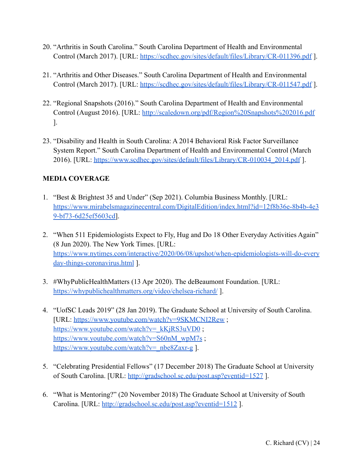- 20. "Arthritis in South Carolina." South Carolina Department of Health and Environmental Control (March 2017). [URL: <https://scdhec.gov/sites/default/files/Library/CR-011396.pdf>].
- 21. "Arthritis and Other Diseases." South Carolina Department of Health and Environmental Control (March 2017). [URL: <https://scdhec.gov/sites/default/files/Library/CR-011547.pdf> ].
- 22. "Regional Snapshots (2016)." South Carolina Department of Health and Environmental Control (August 2016). [URL: <http://scaledown.org/pdf/Region%20Snapshots%202016.pdf> ].
- 23. "Disability and Health in South Carolina: A 2014 Behavioral Risk Factor Surveillance System Report." South Carolina Department of Health and Environmental Control (March 2016). [URL: [https://www.scdhec.gov/sites/default/files/Library/CR-010034\\_2014.pdf](https://www.scdhec.gov/sites/default/files/Library/CR-010034_2014.pdf) ].

# **MEDIA COVERAGE**

- 1. "Best & Brightest 35 and Under" (Sep 2021). Columbia Business Monthly. [URL: [https://www.mirabelsmagazinecentral.com/DigitalEdition/index.html?id=12f8b36e-8b4b-4e3](https://www.mirabelsmagazinecentral.com/DigitalEdition/index.html?id=12f8b36e-8b4b-4e39-bf73-6d25ef5603cd) [9-bf73-6d25ef5603cd\]](https://www.mirabelsmagazinecentral.com/DigitalEdition/index.html?id=12f8b36e-8b4b-4e39-bf73-6d25ef5603cd).
- 2. "When 511 Epidemiologists Expect to Fly, Hug and Do 18 Other Everyday Activities Again" (8 Jun 2020). The New York Times. [URL: [https://www.nytimes.com/interactive/2020/06/08/upshot/when-epidemiologists-will-do-every](https://www.nytimes.com/interactive/2020/06/08/upshot/when-epidemiologists-will-do-everyday-things-coronavirus.html) [day-things-coronavirus.html](https://www.nytimes.com/interactive/2020/06/08/upshot/when-epidemiologists-will-do-everyday-things-coronavirus.html) ].
- 3. #WhyPublicHealthMatters (13 Apr 2020). The deBeaumont Foundation. [URL: <https://whypublichealthmatters.org/video/chelsea-richard/> ].
- 4. "UofSC Leads 2019" (28 Jan 2019). The Graduate School at University of South Carolina. [URL: <https://www.youtube.com/watch?v=9SKMCNI2Rew> ; [https://www.youtube.com/watch?v=\\_kKjRS3uVD0](https://www.youtube.com/watch?v=_kKjRS3uVD0); [https://www.youtube.com/watch?v=S60nM\\_wpM7s](https://www.youtube.com/watch?v=S60nM_wpM7s); [https://www.youtube.com/watch?v=\\_nbe8Zaxr-g](https://www.youtube.com/watch?v=_nbe8Zaxr-g) ].
- 5. "Celebrating Presidential Fellows" (17 December 2018) The Graduate School at University of South Carolina. [URL: <http://gradschool.sc.edu/post.asp?eventid=1527> ].
- 6. "What is Mentoring?" (20 November 2018) The Graduate School at University of South Carolina. [URL: <http://gradschool.sc.edu/post.asp?eventid=1512> ].